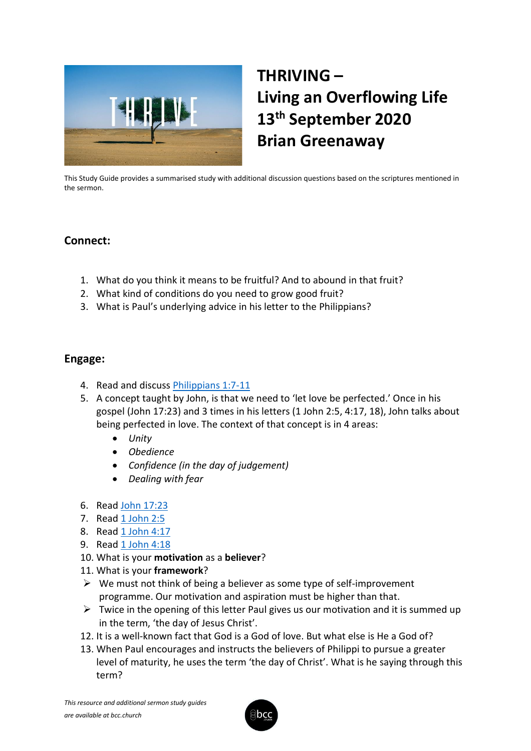

# **THRIVING – Living an Overflowing Life 13th September 2020 Brian Greenaway**

This Study Guide provides a summarised study with additional discussion questions based on the scriptures mentioned in the sermon.

# **Connect:**

- 1. What do you think it means to be fruitful? And to abound in that fruit?
- 2. What kind of conditions do you need to grow good fruit?
- 3. What is Paul's underlying advice in his letter to the Philippians?

# **Engage:**

- 4. Read and discuss [Philippians 1:7-11](https://www.biblegateway.com/passage/?search=Philippians+1%3A7-11&version=NLT)
- 5. A concept taught by John, is that we need to 'let love be perfected.' Once in his gospel (John 17:23) and 3 times in his letters (1 John 2:5, 4:17, 18), John talks about being perfected in love. The context of that concept is in 4 areas:
	- *Unity*
	- *Obedience*
	- *Confidence (in the day of judgement)*
	- *Dealing with fear*
- 6. Read [John 17:23](https://www.biblegateway.com/passage/?search=John+17%3A23&version=NLT)
- 7. Read [1 John 2:5](https://www.biblegateway.com/passage/?search=1+John+2%3A5&version=NLT)
- 8. Read [1 John 4:17](https://www.biblegateway.com/passage/?search=1+John+4%3A17&version=NLT)
- 9. Read [1 John 4:18](https://www.biblegateway.com/passage/?search=1+John+4%3A18&version=NLT)
- 10. What is your **motivation** as a **believer**?
- 11. What is your **framework**?
- $\triangleright$  We must not think of being a believer as some type of self-improvement programme. Our motivation and aspiration must be higher than that.
- $\triangleright$  Twice in the opening of this letter Paul gives us our motivation and it is summed up in the term, 'the day of Jesus Christ'.
- 12. It is a well-known fact that God is a God of love. But what else is He a God of?
- 13. When Paul encourages and instructs the believers of Philippi to pursue a greater level of maturity, he uses the term 'the day of Christ'. What is he saying through this term?

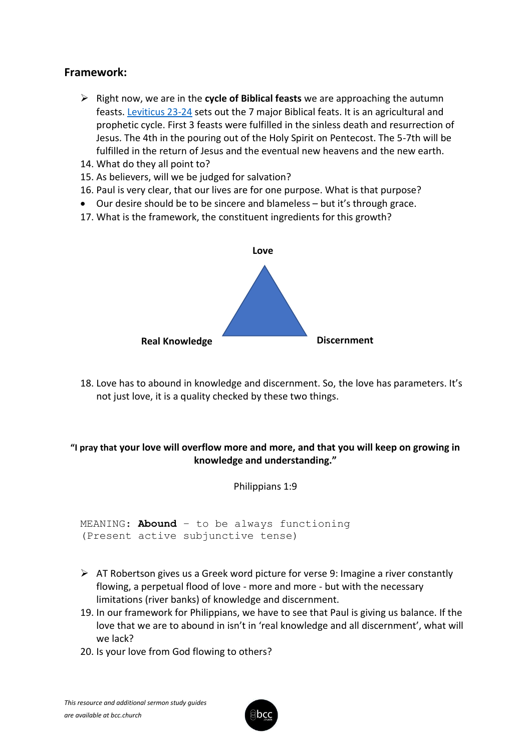# **Framework:**

- ➢ Right now, we are in the **cycle of Biblical feasts** we are approaching the autumn feasts. [Leviticus 23-24](https://www.biblegateway.com/passage/?search=Leviticus+23-24+&version=NLT) sets out the 7 major Biblical feats. It is an agricultural and prophetic cycle. First 3 feasts were fulfilled in the sinless death and resurrection of Jesus. The 4th in the pouring out of the Holy Spirit on Pentecost. The 5-7th will be fulfilled in the return of Jesus and the eventual new heavens and the new earth.
- 14. What do they all point to?
- 15. As believers, will we be judged for salvation?
- 16. Paul is very clear, that our lives are for one purpose. What is that purpose?
- Our desire should be to be sincere and blameless but it's through grace.
- 17. What is the framework, the constituent ingredients for this growth?



18. Love has to abound in knowledge and discernment. So, the love has parameters. It's not just love, it is a quality checked by these two things.

## **"I pray that your love will overflow more and more, and that you will keep on growing in knowledge and understanding."**

Philippians 1:9

MEANING: **Abound** – to be always functioning (Present active subjunctive tense)

- $\triangleright$  AT Robertson gives us a Greek word picture for verse 9: Imagine a river constantly flowing, a perpetual flood of love - more and more - but with the necessary limitations (river banks) of knowledge and discernment.
- 19. In our framework for Philippians, we have to see that Paul is giving us balance. If the love that we are to abound in isn't in 'real knowledge and all discernment', what will we lack?
- 20. Is your love from God flowing to others?

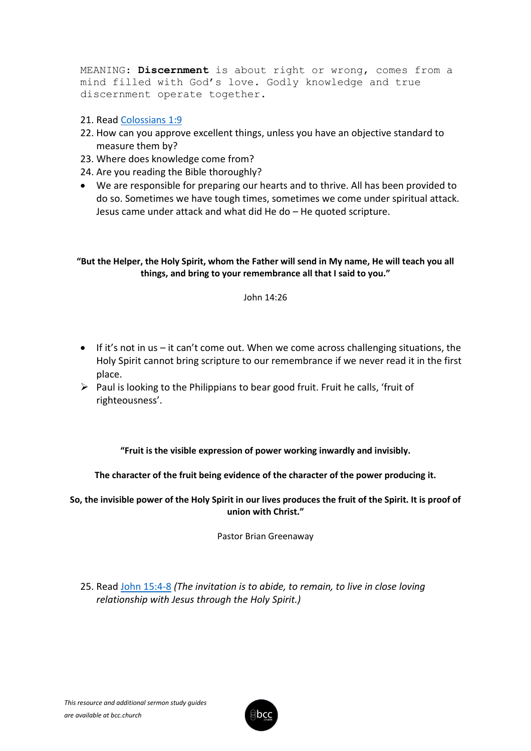MEANING: **Discernment** is about right or wrong, comes from a mind filled with God's love. Godly knowledge and true discernment operate together.

#### 21. Read [Colossians 1:9](https://www.biblegateway.com/passage/?search=Colossians+1%3A9&version=NLT)

- 22. How can you approve excellent things, unless you have an objective standard to measure them by?
- 23. Where does knowledge come from?
- 24. Are you reading the Bible thoroughly?
- We are responsible for preparing our hearts and to thrive. All has been provided to do so. Sometimes we have tough times, sometimes we come under spiritual attack. Jesus came under attack and what did He do – He quoted scripture.

#### **"But the Helper, the Holy Spirit, whom the Father will send in My name, He will teach you all things, and bring to your remembrance all that I said to you."**

#### John 14:26

- If it's not in us it can't come out. When we come across challenging situations, the Holy Spirit cannot bring scripture to our remembrance if we never read it in the first place.
- $\triangleright$  Paul is looking to the Philippians to bear good fruit. Fruit he calls, 'fruit of righteousness'.

**"Fruit is the visible expression of power working inwardly and invisibly.**

#### **The character of the fruit being evidence of the character of the power producing it.**

**So, the invisible power of the Holy Spirit in our lives produces the fruit of the Spirit. It is proof of union with Christ."**

Pastor Brian Greenaway

25. Read [John 15:4-8](https://www.biblegateway.com/passage/?search=John+15%3A4-8+&version=NLT) *(The invitation is to abide, to remain, to live in close loving relationship with Jesus through the Holy Spirit.)*